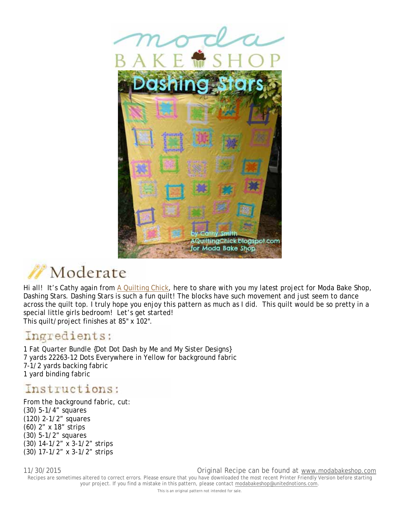



Hi all! It's Cathy again from A Quilting Chick, here to share with you my latest project for Moda Bake Shop, Dashing Stars. Dashing Stars is such a fun quilt! The blocks have such movement and just seem to dance across the quilt top. I truly hope you enjoy this pattern as much as I did. This quilt would be so pretty in a special little girls bedroom! Let's get started! This quilt/project finishes at 85" x 102".

## Ingredients:

1 Fat Quarter Bundle {Dot Dot Dash by Me and My Sister Designs} 7 yards 22263-12 Dots Everywhere in Yellow for background fabric 7-1/2 yards backing fabric 1 yard binding fabric

## Instructions:

From the background fabric, cut: (30) 5-1/4" squares (120) 2-1/2" squares (60) 2" x 18" strips (30) 5-1/2" squares (30) 14-1/2" x 3-1/2" strips (30) 17-1/2" x 3-1/2" strips

11/30/2015 Original Recipe can be found at www.modabakeshop.com Recipes are sometimes altered to correct errors. Please ensure that you have downloaded the most recent Printer Friendly Version before starting your project. If you find a mistake in this pattern, please contact modabakeshop@unitednotions.com.

This is an original pattern not intended for sale.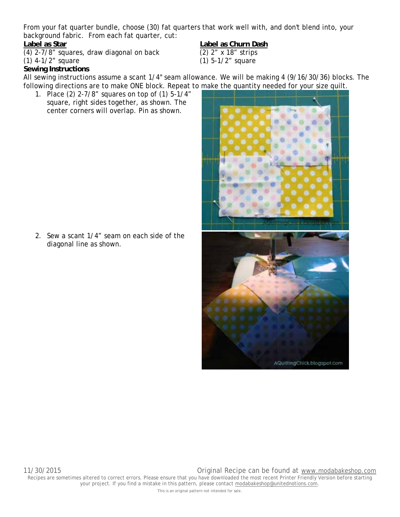From your fat quarter bundle, choose (30) fat quarters that work well with, and don't blend into, your background fabric. From each fat quarter, cut:

Label as Star<br>
(4) 2-7/8" squares, draw diagonal on back <br>
(2) 2" x 18" strips  $(4)$  2-7/8" squares, draw diagonal on back

### (1) 4-1/2" square (1) 5-1/2" square

### **Sewing Instructions**

All sewing instructions assume a scant 1/4" seam allowance. We will be making 4 (9/16/30/36) blocks. The following directions are to make ONE block. Repeat to make the quantity needed for your size quilt.

1. Place (2) 2-7/8" squares on top of (1) 5-1/4" square, right sides together, as shown. The center corners will overlap. Pin as shown.

2. Sew a scant 1/4" seam on each side of the diagonal line as shown.

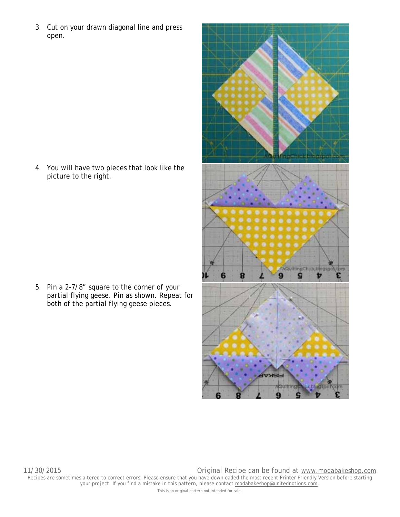3. Cut on your drawn diagonal line and press open.

4. You will have two pieces that look like the picture to the right.

5. Pin a 2-7/8" square to the corner of your partial flying geese. Pin as shown. Repeat for both of the partial flying geese pieces.



This is an original pattern not intended for sale.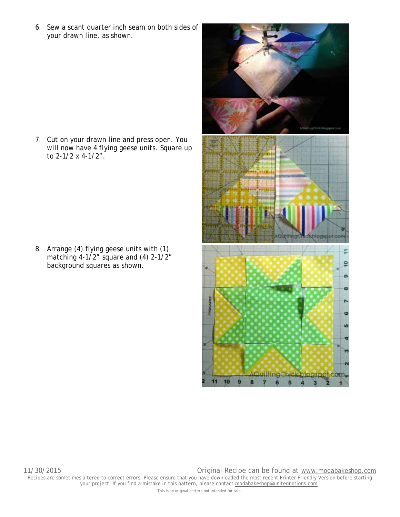6. Sew a scant quarter inch seam on both sides of your drawn line, as shown.

7. Cut on your drawn line and press open. You will now have 4 flying geese units. Square up to 2-1/2 x 4-1/2".

8. Arrange (4) flying geese units with (1) matching 4-1/2" square and (4) 2-1/2" background squares as shown.

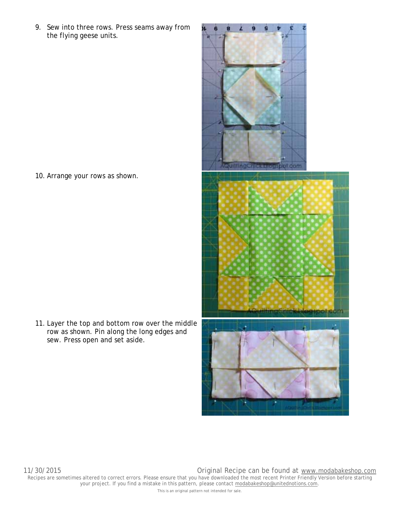9. Sew into three rows. Press seams away from the flying geese units.

10. Arrange your rows as shown.

11. Layer the top and bottom row over the middle row as shown. Pin along the long edges and sew. Press open and set aside.

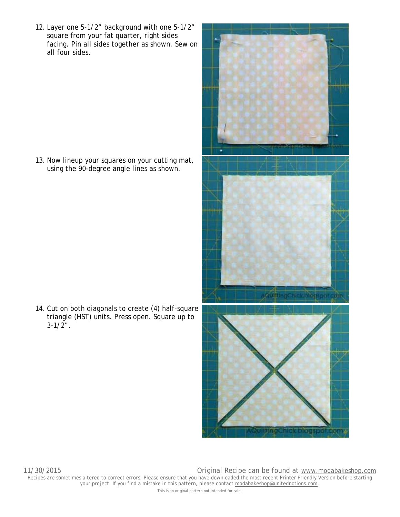12. Layer one 5-1/2" background with one 5-1/2" square from your fat quarter, right sides facing. Pin all sides together as shown. Sew on all four sides.

13. Now lineup your squares on your cutting mat, using the 90-degree angle lines as shown.

14. Cut on both diagonals to create (4) half-square triangle (HST) units. Press open. Square up to  $3-1/2$ ".

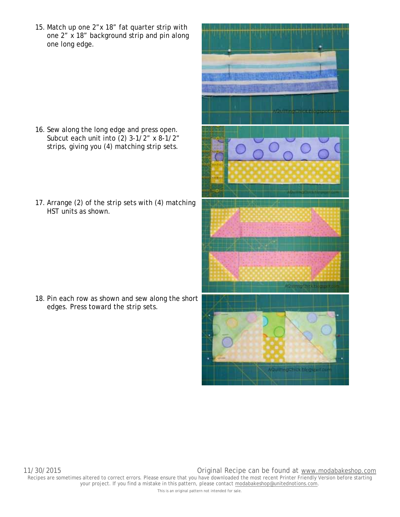15. Match up one 2"x 18" fat quarter strip with one 2" x 18" background strip and pin along one long edge.

- 16. Sew along the long edge and press open. Subcut each unit into (2) 3-1/2" x 8-1/2" strips, giving you (4) matching strip sets.
- 17. Arrange (2) of the strip sets with (4) matching HST units as shown.

18. Pin each row as shown and sew along the short edges. Press toward the strip sets.

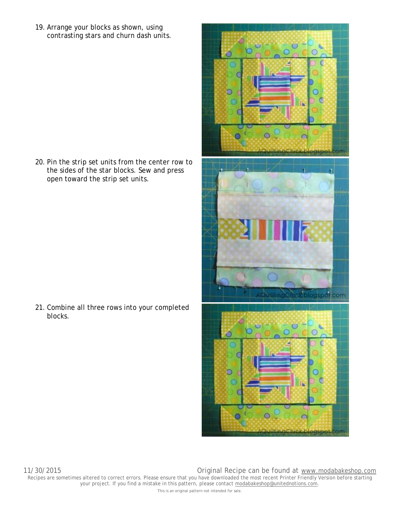19. Arrange your blocks as shown, using contrasting stars and churn dash units.

20. Pin the strip set units from the center row to the sides of the star blocks. Sew and press open toward the strip set units.

21. Combine all three rows into your completed blocks.



O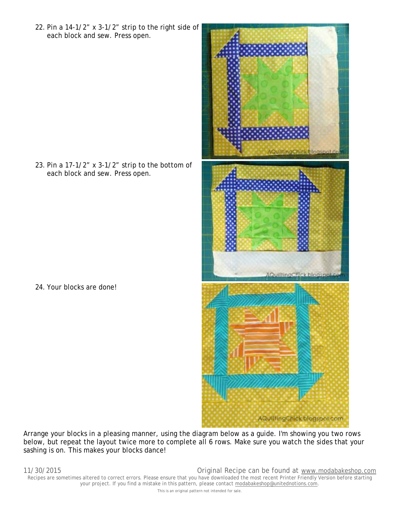22. Pin a 14-1/2" x 3-1/2" strip to the right side of each block and sew. Press open.

23. Pin a 17-1/2" x 3-1/2" strip to the bottom of each block and sew. Press open.

24. Your blocks are done!



Arrange your blocks in a pleasing manner, using the diagram below as a guide. I'm showing you two rows below, but repeat the layout twice more to complete all 6 rows. Make sure you watch the sides that your sashing is on. This makes your blocks dance!

11/30/2015 Original Recipe can be found at www.modabakeshop.com Recipes are sometimes altered to correct errors. Please ensure that you have downloaded the most recent Printer Friendly Version before starting your project. If you find a mistake in this pattern, please contact modabakeshop@unitednotions.com. This is an original pattern not intended for sale.